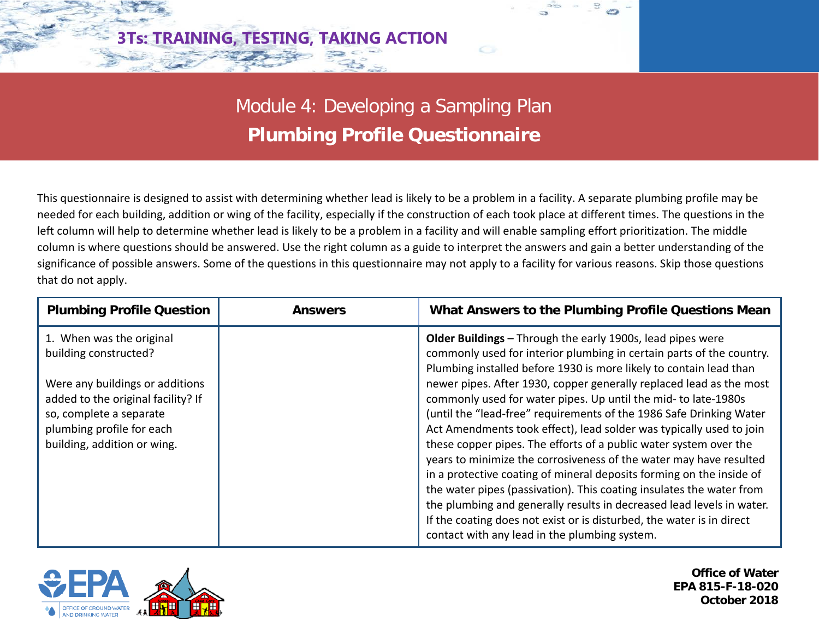

Module 4: Developing a Sampling Plan **Plumbing Profile Questionnaire**

This questionnaire is designed to assist with determining whether lead is likely to be a problem in a facility. A separate plumbing profile may be needed for each building, addition or wing of the facility, especially if the construction of each took place at different times. The questions in the left column will help to determine whether lead is likely to be a problem in a facility and will enable sampling effort prioritization. The middle column is where questions should be answered. Use the right column as a guide to interpret the answers and gain a better understanding of the significance of possible answers. Some of the questions in this questionnaire may not apply to a facility for various reasons. Skip those questions that do not apply.

| <b>Plumbing Profile Question</b>   | <b>Answers</b> | What Answers to the Plumbing Profile Questions Mean                   |
|------------------------------------|----------------|-----------------------------------------------------------------------|
| 1. When was the original           |                | <b>Older Buildings</b> – Through the early 1900s, lead pipes were     |
| building constructed?              |                | commonly used for interior plumbing in certain parts of the country.  |
|                                    |                | Plumbing installed before 1930 is more likely to contain lead than    |
| Were any buildings or additions    |                | newer pipes. After 1930, copper generally replaced lead as the most   |
| added to the original facility? If |                | commonly used for water pipes. Up until the mid- to late-1980s        |
| so, complete a separate            |                | (until the "lead-free" requirements of the 1986 Safe Drinking Water   |
| plumbing profile for each          |                | Act Amendments took effect), lead solder was typically used to join   |
| building, addition or wing.        |                | these copper pipes. The efforts of a public water system over the     |
|                                    |                | years to minimize the corrosiveness of the water may have resulted    |
|                                    |                | in a protective coating of mineral deposits forming on the inside of  |
|                                    |                | the water pipes (passivation). This coating insulates the water from  |
|                                    |                | the plumbing and generally results in decreased lead levels in water. |
|                                    |                | If the coating does not exist or is disturbed, the water is in direct |
|                                    |                | contact with any lead in the plumbing system.                         |



**Office of Water EPA 815-F-18-020 October 2018**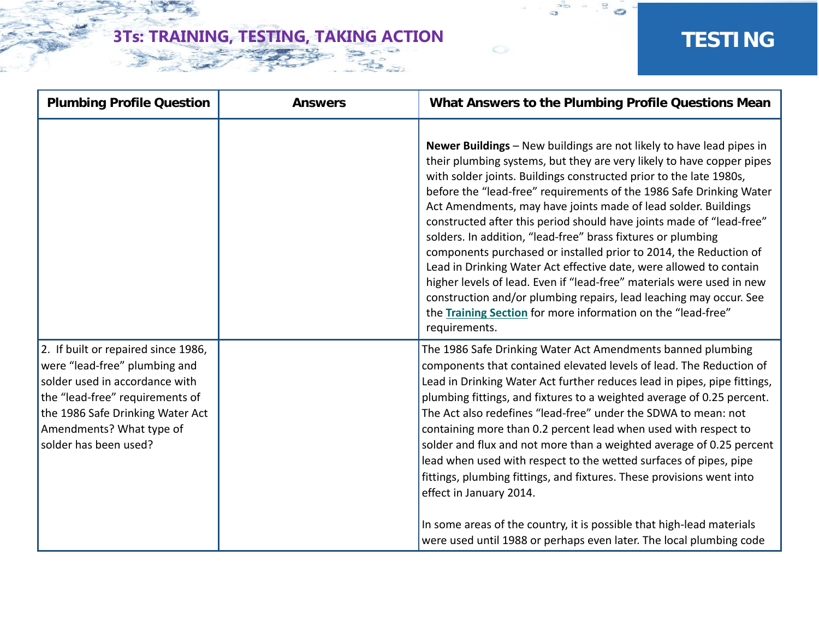$\mathbf{c}^{\mathbf{c}}$ 

| <b>Plumbing Profile Question</b>                                                                                                                                                                                                   | <b>Answers</b> | What Answers to the Plumbing Profile Questions Mean                                                                                                                                                                                                                                                                                                                                                                                                                                                                                                                                                                                                                                                                                                                                                                                                                             |
|------------------------------------------------------------------------------------------------------------------------------------------------------------------------------------------------------------------------------------|----------------|---------------------------------------------------------------------------------------------------------------------------------------------------------------------------------------------------------------------------------------------------------------------------------------------------------------------------------------------------------------------------------------------------------------------------------------------------------------------------------------------------------------------------------------------------------------------------------------------------------------------------------------------------------------------------------------------------------------------------------------------------------------------------------------------------------------------------------------------------------------------------------|
|                                                                                                                                                                                                                                    |                | Newer Buildings - New buildings are not likely to have lead pipes in<br>their plumbing systems, but they are very likely to have copper pipes<br>with solder joints. Buildings constructed prior to the late 1980s,<br>before the "lead-free" requirements of the 1986 Safe Drinking Water<br>Act Amendments, may have joints made of lead solder. Buildings<br>constructed after this period should have joints made of "lead-free"<br>solders. In addition, "lead-free" brass fixtures or plumbing<br>components purchased or installed prior to 2014, the Reduction of<br>Lead in Drinking Water Act effective date, were allowed to contain<br>higher levels of lead. Even if "lead-free" materials were used in new<br>construction and/or plumbing repairs, lead leaching may occur. See<br>the Training Section for more information on the "lead-free"<br>requirements. |
| 2. If built or repaired since 1986,<br>were "lead-free" plumbing and<br>solder used in accordance with<br>the "lead-free" requirements of<br>the 1986 Safe Drinking Water Act<br>Amendments? What type of<br>solder has been used? |                | The 1986 Safe Drinking Water Act Amendments banned plumbing<br>components that contained elevated levels of lead. The Reduction of<br>Lead in Drinking Water Act further reduces lead in pipes, pipe fittings,<br>plumbing fittings, and fixtures to a weighted average of 0.25 percent.<br>The Act also redefines "lead-free" under the SDWA to mean: not<br>containing more than 0.2 percent lead when used with respect to<br>solder and flux and not more than a weighted average of 0.25 percent<br>lead when used with respect to the wetted surfaces of pipes, pipe<br>fittings, plumbing fittings, and fixtures. These provisions went into<br>effect in January 2014.<br>In some areas of the country, it is possible that high-lead materials<br>were used until 1988 or perhaps even later. The local plumbing code                                                  |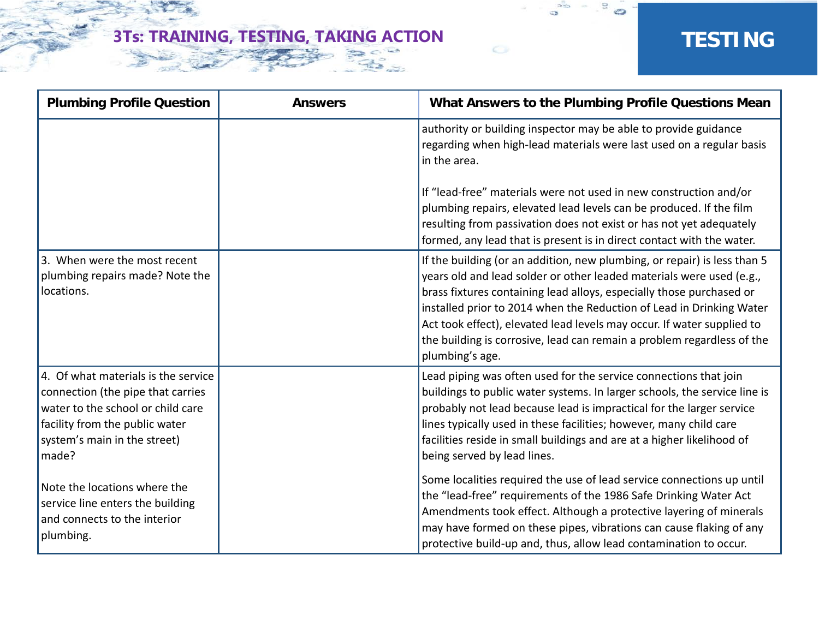$\mathbf{c}^{\mathbf{c}}$ 

| <b>Plumbing Profile Question</b>                                                                                                                                                         | <b>Answers</b> | What Answers to the Plumbing Profile Questions Mean                                                                                                                                                                                                                                                                                                                                                                                                                     |
|------------------------------------------------------------------------------------------------------------------------------------------------------------------------------------------|----------------|-------------------------------------------------------------------------------------------------------------------------------------------------------------------------------------------------------------------------------------------------------------------------------------------------------------------------------------------------------------------------------------------------------------------------------------------------------------------------|
|                                                                                                                                                                                          |                | authority or building inspector may be able to provide guidance<br>regarding when high-lead materials were last used on a regular basis<br>in the area.                                                                                                                                                                                                                                                                                                                 |
|                                                                                                                                                                                          |                | If "lead-free" materials were not used in new construction and/or<br>plumbing repairs, elevated lead levels can be produced. If the film<br>resulting from passivation does not exist or has not yet adequately<br>formed, any lead that is present is in direct contact with the water.                                                                                                                                                                                |
| 3. When were the most recent<br>plumbing repairs made? Note the<br>locations.                                                                                                            |                | If the building (or an addition, new plumbing, or repair) is less than 5<br>years old and lead solder or other leaded materials were used (e.g.,<br>brass fixtures containing lead alloys, especially those purchased or<br>installed prior to 2014 when the Reduction of Lead in Drinking Water<br>Act took effect), elevated lead levels may occur. If water supplied to<br>the building is corrosive, lead can remain a problem regardless of the<br>plumbing's age. |
| 4. Of what materials is the service<br>connection (the pipe that carries<br>water to the school or child care<br>facility from the public water<br>system's main in the street)<br>made? |                | Lead piping was often used for the service connections that join<br>buildings to public water systems. In larger schools, the service line is<br>probably not lead because lead is impractical for the larger service<br>lines typically used in these facilities; however, many child care<br>facilities reside in small buildings and are at a higher likelihood of<br>being served by lead lines.                                                                    |
| Note the locations where the<br>service line enters the building<br>and connects to the interior<br>plumbing.                                                                            |                | Some localities required the use of lead service connections up until<br>the "lead-free" requirements of the 1986 Safe Drinking Water Act<br>Amendments took effect. Although a protective layering of minerals<br>may have formed on these pipes, vibrations can cause flaking of any<br>protective build-up and, thus, allow lead contamination to occur.                                                                                                             |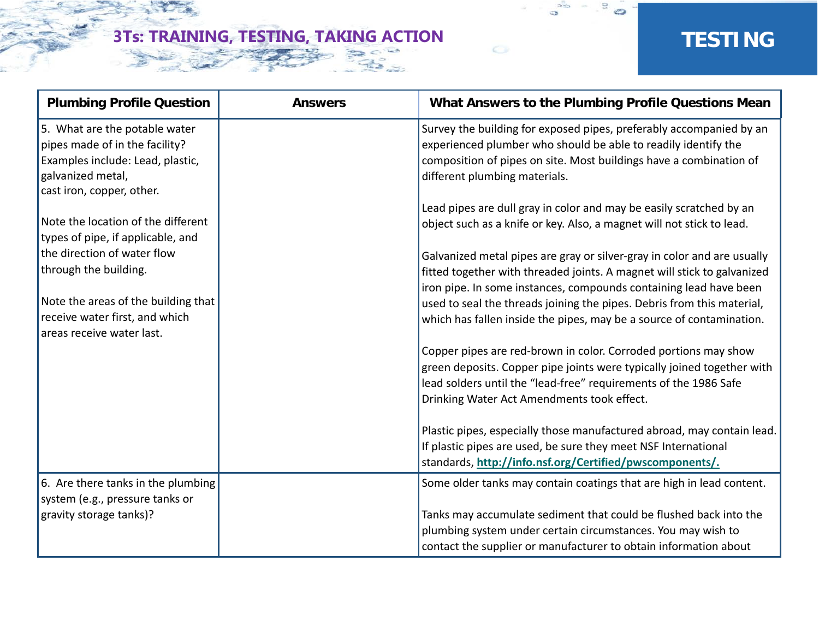$\mathbf{c}^{\mathbf{c}}$ 

| <b>Plumbing Profile Question</b>                                                                                                                      | <b>Answers</b> | What Answers to the Plumbing Profile Questions Mean                                                                                                                                                                                                         |
|-------------------------------------------------------------------------------------------------------------------------------------------------------|----------------|-------------------------------------------------------------------------------------------------------------------------------------------------------------------------------------------------------------------------------------------------------------|
| 5. What are the potable water<br>pipes made of in the facility?<br>Examples include: Lead, plastic,<br>galvanized metal,<br>cast iron, copper, other. |                | Survey the building for exposed pipes, preferably accompanied by an<br>experienced plumber who should be able to readily identify the<br>composition of pipes on site. Most buildings have a combination of<br>different plumbing materials.                |
| Note the location of the different<br>types of pipe, if applicable, and                                                                               |                | Lead pipes are dull gray in color and may be easily scratched by an<br>object such as a knife or key. Also, a magnet will not stick to lead.                                                                                                                |
| the direction of water flow<br>through the building.                                                                                                  |                | Galvanized metal pipes are gray or silver-gray in color and are usually<br>fitted together with threaded joints. A magnet will stick to galvanized<br>iron pipe. In some instances, compounds containing lead have been                                     |
| Note the areas of the building that<br>receive water first, and which<br>areas receive water last.                                                    |                | used to seal the threads joining the pipes. Debris from this material,<br>which has fallen inside the pipes, may be a source of contamination.                                                                                                              |
|                                                                                                                                                       |                | Copper pipes are red-brown in color. Corroded portions may show<br>green deposits. Copper pipe joints were typically joined together with<br>lead solders until the "lead-free" requirements of the 1986 Safe<br>Drinking Water Act Amendments took effect. |
|                                                                                                                                                       |                | Plastic pipes, especially those manufactured abroad, may contain lead.<br>If plastic pipes are used, be sure they meet NSF International<br>standards, http://info.nsf.org/Certified/pwscomponents/.                                                        |
| 6. Are there tanks in the plumbing                                                                                                                    |                | Some older tanks may contain coatings that are high in lead content.                                                                                                                                                                                        |
| system (e.g., pressure tanks or<br>gravity storage tanks)?                                                                                            |                | Tanks may accumulate sediment that could be flushed back into the<br>plumbing system under certain circumstances. You may wish to<br>contact the supplier or manufacturer to obtain information about                                                       |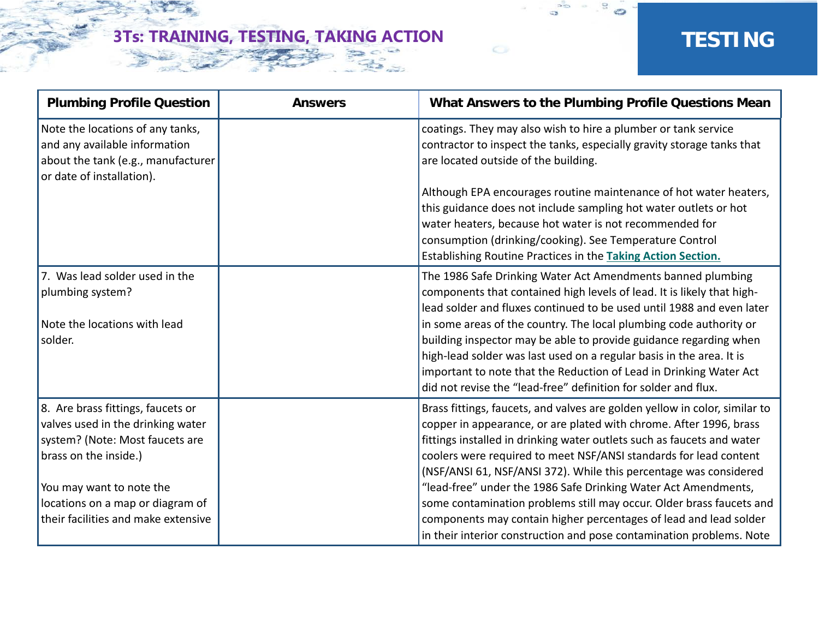$\mathbf{c}^{\mathbf{c}}$ 

| <b>Plumbing Profile Question</b>                                                                                                                                                                                                          | <b>Answers</b> | What Answers to the Plumbing Profile Questions Mean                                                                                                                                                                                                                                                                                                                                                                                                                                                                                                                                                                                                         |
|-------------------------------------------------------------------------------------------------------------------------------------------------------------------------------------------------------------------------------------------|----------------|-------------------------------------------------------------------------------------------------------------------------------------------------------------------------------------------------------------------------------------------------------------------------------------------------------------------------------------------------------------------------------------------------------------------------------------------------------------------------------------------------------------------------------------------------------------------------------------------------------------------------------------------------------------|
| Note the locations of any tanks,<br>and any available information<br>about the tank (e.g., manufacturer<br>or date of installation).                                                                                                      |                | coatings. They may also wish to hire a plumber or tank service<br>contractor to inspect the tanks, especially gravity storage tanks that<br>are located outside of the building.                                                                                                                                                                                                                                                                                                                                                                                                                                                                            |
|                                                                                                                                                                                                                                           |                | Although EPA encourages routine maintenance of hot water heaters,<br>this guidance does not include sampling hot water outlets or hot<br>water heaters, because hot water is not recommended for<br>consumption (drinking/cooking). See Temperature Control<br>Establishing Routine Practices in the Taking Action Section.                                                                                                                                                                                                                                                                                                                                 |
| 7. Was lead solder used in the<br>plumbing system?<br>Note the locations with lead<br>solder.                                                                                                                                             |                | The 1986 Safe Drinking Water Act Amendments banned plumbing<br>components that contained high levels of lead. It is likely that high-<br>lead solder and fluxes continued to be used until 1988 and even later<br>in some areas of the country. The local plumbing code authority or<br>building inspector may be able to provide guidance regarding when<br>high-lead solder was last used on a regular basis in the area. It is<br>important to note that the Reduction of Lead in Drinking Water Act<br>did not revise the "lead-free" definition for solder and flux.                                                                                   |
| 8. Are brass fittings, faucets or<br>valves used in the drinking water<br>system? (Note: Most faucets are<br>brass on the inside.)<br>You may want to note the<br>locations on a map or diagram of<br>their facilities and make extensive |                | Brass fittings, faucets, and valves are golden yellow in color, similar to<br>copper in appearance, or are plated with chrome. After 1996, brass<br>fittings installed in drinking water outlets such as faucets and water<br>coolers were required to meet NSF/ANSI standards for lead content<br>(NSF/ANSI 61, NSF/ANSI 372). While this percentage was considered<br>"lead-free" under the 1986 Safe Drinking Water Act Amendments,<br>some contamination problems still may occur. Older brass faucets and<br>components may contain higher percentages of lead and lead solder<br>in their interior construction and pose contamination problems. Note |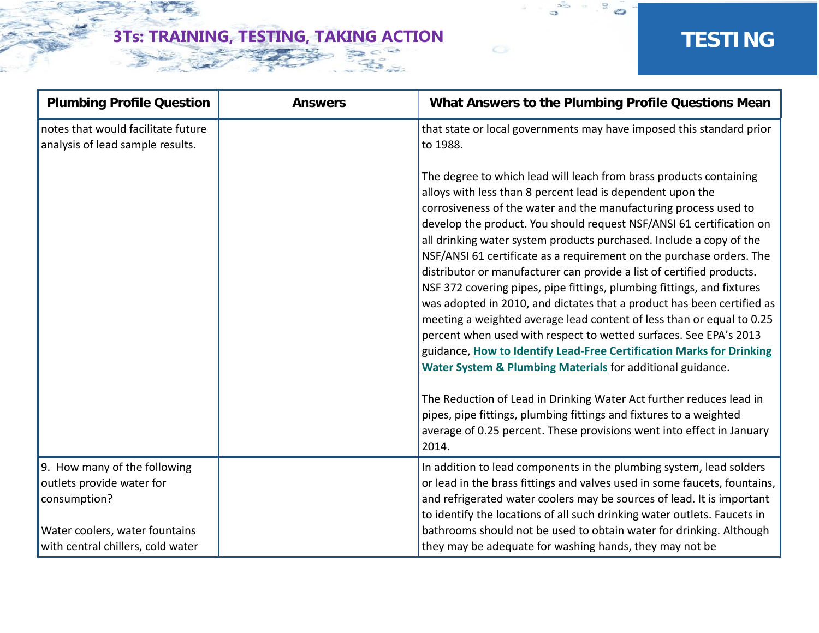$\mathbf{c}^{\mathbf{c}}$ 

| <b>Plumbing Profile Question</b>                                       | <b>Answers</b> | What Answers to the Plumbing Profile Questions Mean                                                                                                                                                                                                                                                                                                                                                                                                                                                                                                                                                                                                                                                                                                                                                                                                                                                                                                                                                                                                                                                                                                                         |
|------------------------------------------------------------------------|----------------|-----------------------------------------------------------------------------------------------------------------------------------------------------------------------------------------------------------------------------------------------------------------------------------------------------------------------------------------------------------------------------------------------------------------------------------------------------------------------------------------------------------------------------------------------------------------------------------------------------------------------------------------------------------------------------------------------------------------------------------------------------------------------------------------------------------------------------------------------------------------------------------------------------------------------------------------------------------------------------------------------------------------------------------------------------------------------------------------------------------------------------------------------------------------------------|
| notes that would facilitate future<br>analysis of lead sample results. |                | that state or local governments may have imposed this standard prior<br>to 1988.                                                                                                                                                                                                                                                                                                                                                                                                                                                                                                                                                                                                                                                                                                                                                                                                                                                                                                                                                                                                                                                                                            |
|                                                                        |                | The degree to which lead will leach from brass products containing<br>alloys with less than 8 percent lead is dependent upon the<br>corrosiveness of the water and the manufacturing process used to<br>develop the product. You should request NSF/ANSI 61 certification on<br>all drinking water system products purchased. Include a copy of the<br>NSF/ANSI 61 certificate as a requirement on the purchase orders. The<br>distributor or manufacturer can provide a list of certified products.<br>NSF 372 covering pipes, pipe fittings, plumbing fittings, and fixtures<br>was adopted in 2010, and dictates that a product has been certified as<br>meeting a weighted average lead content of less than or equal to 0.25<br>percent when used with respect to wetted surfaces. See EPA's 2013<br>guidance, How to Identify Lead-Free Certification Marks for Drinking<br>Water System & Plumbing Materials for additional guidance.<br>The Reduction of Lead in Drinking Water Act further reduces lead in<br>pipes, pipe fittings, plumbing fittings and fixtures to a weighted<br>average of 0.25 percent. These provisions went into effect in January<br>2014. |
| 9. How many of the following<br>outlets provide water for              |                | In addition to lead components in the plumbing system, lead solders<br>or lead in the brass fittings and valves used in some faucets, fountains,                                                                                                                                                                                                                                                                                                                                                                                                                                                                                                                                                                                                                                                                                                                                                                                                                                                                                                                                                                                                                            |
| consumption?                                                           |                | and refrigerated water coolers may be sources of lead. It is important<br>to identify the locations of all such drinking water outlets. Faucets in                                                                                                                                                                                                                                                                                                                                                                                                                                                                                                                                                                                                                                                                                                                                                                                                                                                                                                                                                                                                                          |
| Water coolers, water fountains                                         |                | bathrooms should not be used to obtain water for drinking. Although                                                                                                                                                                                                                                                                                                                                                                                                                                                                                                                                                                                                                                                                                                                                                                                                                                                                                                                                                                                                                                                                                                         |
| with central chillers, cold water                                      |                | they may be adequate for washing hands, they may not be                                                                                                                                                                                                                                                                                                                                                                                                                                                                                                                                                                                                                                                                                                                                                                                                                                                                                                                                                                                                                                                                                                                     |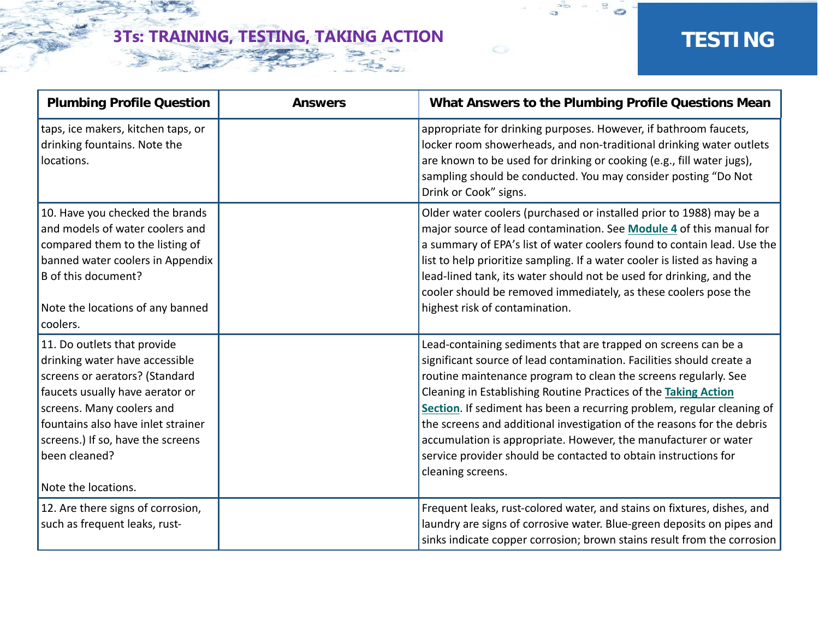$\mathbf{c}^{\mathbf{c}}$ 

| <b>Plumbing Profile Question</b>                                                                                                                                                                                                                                                   | <b>Answers</b> | What Answers to the Plumbing Profile Questions Mean                                                                                                                                                                                                                                                                                                                                                                                                                                                                                                                                         |
|------------------------------------------------------------------------------------------------------------------------------------------------------------------------------------------------------------------------------------------------------------------------------------|----------------|---------------------------------------------------------------------------------------------------------------------------------------------------------------------------------------------------------------------------------------------------------------------------------------------------------------------------------------------------------------------------------------------------------------------------------------------------------------------------------------------------------------------------------------------------------------------------------------------|
| taps, ice makers, kitchen taps, or<br>drinking fountains. Note the<br>locations.                                                                                                                                                                                                   |                | appropriate for drinking purposes. However, if bathroom faucets,<br>locker room showerheads, and non-traditional drinking water outlets<br>are known to be used for drinking or cooking (e.g., fill water jugs),<br>sampling should be conducted. You may consider posting "Do Not<br>Drink or Cook" signs.                                                                                                                                                                                                                                                                                 |
| 10. Have you checked the brands<br>and models of water coolers and<br>compared them to the listing of<br>banned water coolers in Appendix<br>B of this document?<br>Note the locations of any banned<br>coolers.                                                                   |                | Older water coolers (purchased or installed prior to 1988) may be a<br>major source of lead contamination. See Module 4 of this manual for<br>a summary of EPA's list of water coolers found to contain lead. Use the<br>list to help prioritize sampling. If a water cooler is listed as having a<br>lead-lined tank, its water should not be used for drinking, and the<br>cooler should be removed immediately, as these coolers pose the<br>highest risk of contamination.                                                                                                              |
| 11. Do outlets that provide<br>drinking water have accessible<br>screens or aerators? (Standard<br>faucets usually have aerator or<br>screens. Many coolers and<br>fountains also have inlet strainer<br>screens.) If so, have the screens<br>been cleaned?<br>Note the locations. |                | Lead-containing sediments that are trapped on screens can be a<br>significant source of lead contamination. Facilities should create a<br>routine maintenance program to clean the screens regularly. See<br>Cleaning in Establishing Routine Practices of the Taking Action<br>Section. If sediment has been a recurring problem, regular cleaning of<br>the screens and additional investigation of the reasons for the debris<br>accumulation is appropriate. However, the manufacturer or water<br>service provider should be contacted to obtain instructions for<br>cleaning screens. |
| 12. Are there signs of corrosion,<br>such as frequent leaks, rust-                                                                                                                                                                                                                 |                | Frequent leaks, rust-colored water, and stains on fixtures, dishes, and<br>laundry are signs of corrosive water. Blue-green deposits on pipes and<br>sinks indicate copper corrosion; brown stains result from the corrosion                                                                                                                                                                                                                                                                                                                                                                |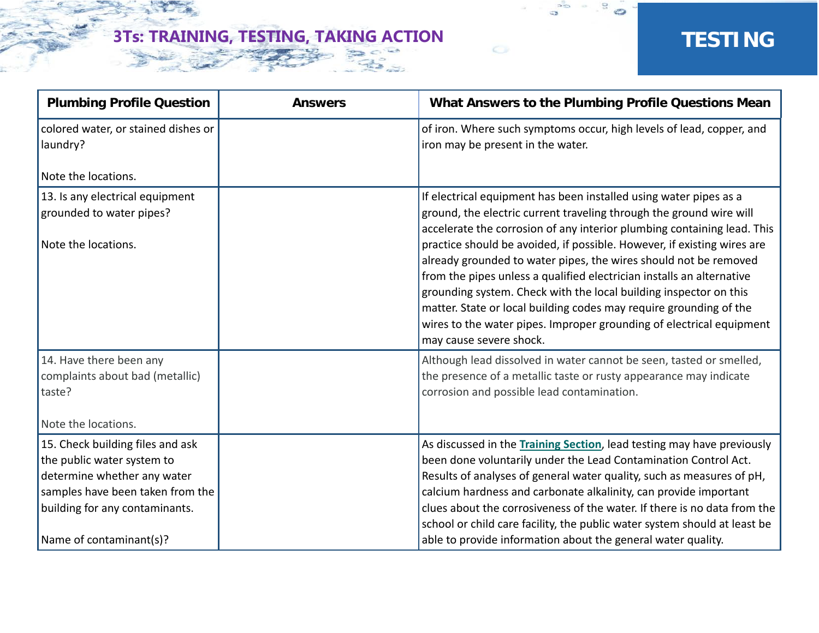$\mathbf{c}^{\mathbf{c}}$ 

| <b>Plumbing Profile Question</b>                                                                                                                                    | <b>Answers</b> | What Answers to the Plumbing Profile Questions Mean                                                                                                                                                                                                                                                                                                                                                                                                                |
|---------------------------------------------------------------------------------------------------------------------------------------------------------------------|----------------|--------------------------------------------------------------------------------------------------------------------------------------------------------------------------------------------------------------------------------------------------------------------------------------------------------------------------------------------------------------------------------------------------------------------------------------------------------------------|
| colored water, or stained dishes or<br>laundry?                                                                                                                     |                | of iron. Where such symptoms occur, high levels of lead, copper, and<br>iron may be present in the water.                                                                                                                                                                                                                                                                                                                                                          |
| Note the locations.                                                                                                                                                 |                |                                                                                                                                                                                                                                                                                                                                                                                                                                                                    |
| 13. Is any electrical equipment<br>grounded to water pipes?                                                                                                         |                | If electrical equipment has been installed using water pipes as a<br>ground, the electric current traveling through the ground wire will<br>accelerate the corrosion of any interior plumbing containing lead. This                                                                                                                                                                                                                                                |
| Note the locations.                                                                                                                                                 |                | practice should be avoided, if possible. However, if existing wires are<br>already grounded to water pipes, the wires should not be removed<br>from the pipes unless a qualified electrician installs an alternative<br>grounding system. Check with the local building inspector on this<br>matter. State or local building codes may require grounding of the<br>wires to the water pipes. Improper grounding of electrical equipment<br>may cause severe shock. |
| 14. Have there been any<br>complaints about bad (metallic)<br>taste?                                                                                                |                | Although lead dissolved in water cannot be seen, tasted or smelled,<br>the presence of a metallic taste or rusty appearance may indicate<br>corrosion and possible lead contamination.                                                                                                                                                                                                                                                                             |
| Note the locations.                                                                                                                                                 |                |                                                                                                                                                                                                                                                                                                                                                                                                                                                                    |
| 15. Check building files and ask<br>the public water system to<br>determine whether any water<br>samples have been taken from the<br>building for any contaminants. |                | As discussed in the Training Section, lead testing may have previously<br>been done voluntarily under the Lead Contamination Control Act.<br>Results of analyses of general water quality, such as measures of pH,<br>calcium hardness and carbonate alkalinity, can provide important<br>clues about the corrosiveness of the water. If there is no data from the<br>school or child care facility, the public water system should at least be                    |
| Name of contaminant(s)?                                                                                                                                             |                | able to provide information about the general water quality.                                                                                                                                                                                                                                                                                                                                                                                                       |